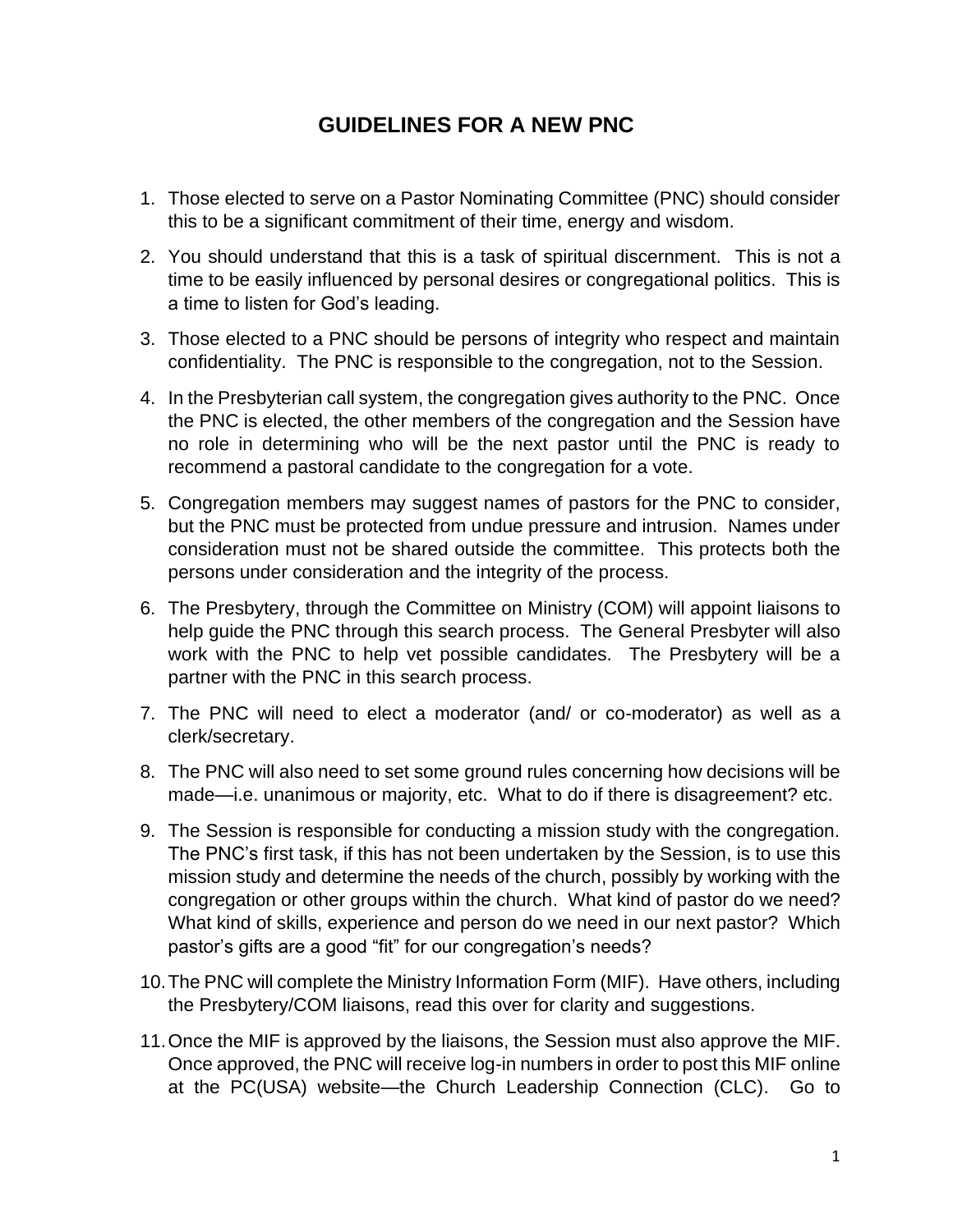## **GUIDELINES FOR A NEW PNC**

- 1. Those elected to serve on a Pastor Nominating Committee (PNC) should consider this to be a significant commitment of their time, energy and wisdom.
- 2. You should understand that this is a task of spiritual discernment. This is not a time to be easily influenced by personal desires or congregational politics. This is a time to listen for God's leading.
- 3. Those elected to a PNC should be persons of integrity who respect and maintain confidentiality. The PNC is responsible to the congregation, not to the Session.
- 4. In the Presbyterian call system, the congregation gives authority to the PNC. Once the PNC is elected, the other members of the congregation and the Session have no role in determining who will be the next pastor until the PNC is ready to recommend a pastoral candidate to the congregation for a vote.
- 5. Congregation members may suggest names of pastors for the PNC to consider, but the PNC must be protected from undue pressure and intrusion. Names under consideration must not be shared outside the committee. This protects both the persons under consideration and the integrity of the process.
- 6. The Presbytery, through the Committee on Ministry (COM) will appoint liaisons to help guide the PNC through this search process. The General Presbyter will also work with the PNC to help vet possible candidates. The Presbytery will be a partner with the PNC in this search process.
- 7. The PNC will need to elect a moderator (and/ or co-moderator) as well as a clerk/secretary.
- 8. The PNC will also need to set some ground rules concerning how decisions will be made—i.e. unanimous or majority, etc. What to do if there is disagreement? etc.
- 9. The Session is responsible for conducting a mission study with the congregation. The PNC's first task, if this has not been undertaken by the Session, is to use this mission study and determine the needs of the church, possibly by working with the congregation or other groups within the church. What kind of pastor do we need? What kind of skills, experience and person do we need in our next pastor? Which pastor's gifts are a good "fit" for our congregation's needs?
- 10.The PNC will complete the Ministry Information Form (MIF). Have others, including the Presbytery/COM liaisons, read this over for clarity and suggestions.
- 11.Once the MIF is approved by the liaisons, the Session must also approve the MIF. Once approved, the PNC will receive log-in numbers in order to post this MIF online at the PC(USA) website—the Church Leadership Connection (CLC). Go to